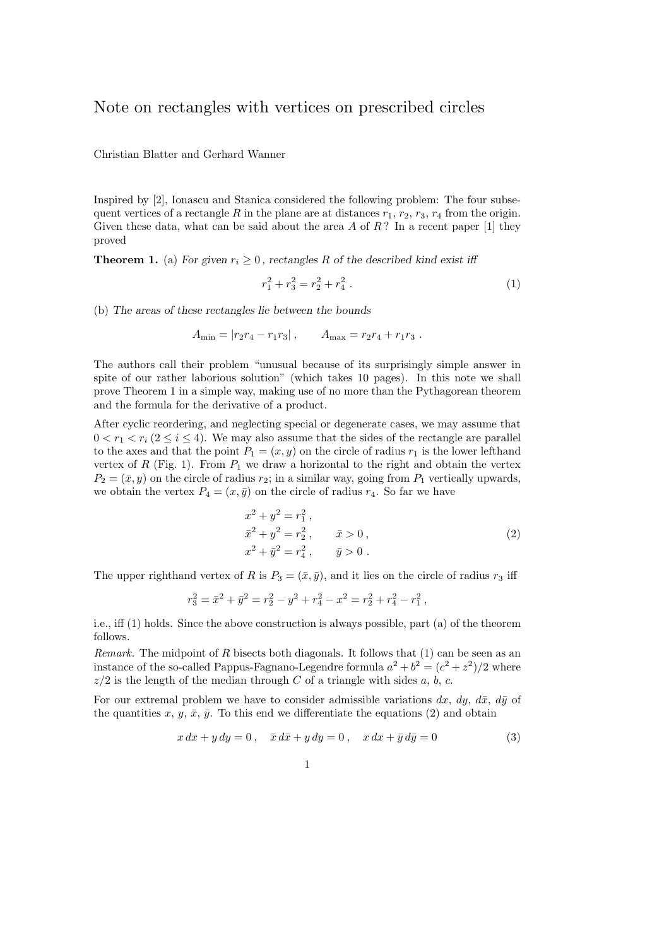## Note on rectangles with vertices on prescribed circles

Christian Blatter and Gerhard Wanner

Inspired by [2], Ionascu and Stanica considered the following problem: The four subsequent vertices of a rectangle  $R$  in the plane are at distances  $r_1$ ,  $r_2$ ,  $r_3$ ,  $r_4$  from the origin. Given these data, what can be said about the area *A* of *R* ? In a recent paper [1] they proved

**Theorem 1.** (a) For given  $r_i \geq 0$ , rectangles R of the described kind exist iff

$$
r_1^2 + r_3^2 = r_2^2 + r_4^2 \ . \tag{1}
$$

(b) The areas of these rectangles lie between the bounds

$$
A_{\min} = |r_2r_4 - r_1r_3|, \qquad A_{\max} = r_2r_4 + r_1r_3.
$$

The authors call their problem "unusual because of its surprisingly simple answer in spite of our rather laborious solution" (which takes 10 pages). In this note we shall prove Theorem 1 in a simple way, making use of no more than the Pythagorean theorem and the formula for the derivative of a product.

After cyclic reordering, and neglecting special or degenerate cases, we may assume that  $0 < r_1 < r_i (2 \leq i \leq 4)$ . We may also assume that the sides of the rectangle are parallel to the axes and that the point  $P_1 = (x, y)$  on the circle of radius  $r_1$  is the lower lefthand vertex of  $R$  (Fig. 1). From  $P_1$  we draw a horizontal to the right and obtain the vertex  $P_2 = (\bar{x}, y)$  on the circle of radius  $r_2$ ; in a similar way, going from  $P_1$  vertically upwards, we obtain the vertex  $P_4 = (x, \bar{y})$  on the circle of radius  $r_4$ . So far we have

$$
x^{2} + y^{2} = r_{1}^{2},
$$
  
\n
$$
\bar{x}^{2} + y^{2} = r_{2}^{2}, \qquad \bar{x} > 0,
$$
  
\n
$$
x^{2} + \bar{y}^{2} = r_{4}^{2}, \qquad \bar{y} > 0.
$$
\n(2)

The upper righthand vertex of *R* is  $P_3 = (\bar{x}, \bar{y})$ , and it lies on the circle of radius  $r_3$  iff

$$
r_3^2 = \bar{x}^2 + \bar{y}^2 = r_2^2 - y^2 + r_4^2 - x^2 = r_2^2 + r_4^2 - r_1^2,
$$

i.e., iff (1) holds. Since the above construction is always possible, part (a) of the theorem follows.

*Remark.* The midpoint of *R* bisects both diagonals. It follows that (1) can be seen as an instance of the so-called Pappus-Fagnano-Legendre formula  $a^2 + b^2 = (c^2 + z^2)/2$  where  $z/2$  is the length of the median through *C* of a triangle with sides *a*, *b*, *c*.

For our extremal problem we have to consider admissible variations  $dx$ ,  $dy$ ,  $d\bar{x}$ ,  $d\bar{y}$  of the quantities x,  $y$ ,  $\bar{x}$ ,  $\bar{y}$ . To this end we differentiate the equations (2) and obtain

$$
x dx + y dy = 0, \quad \bar{x} d\bar{x} + y dy = 0, \quad x dx + \bar{y} d\bar{y} = 0
$$
 (3)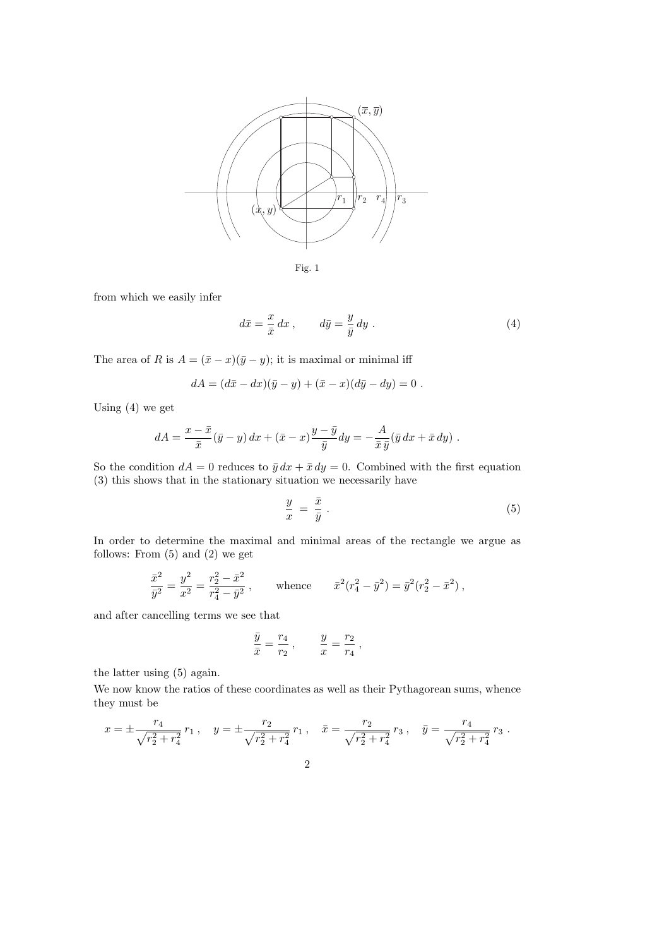

$$
Fig. 1
$$

from which we easily infer

$$
d\bar{x} = \frac{x}{\bar{x}} dx , \qquad d\bar{y} = \frac{y}{\bar{y}} dy . \qquad (4)
$$

The area of *R* is  $A = (\bar{x} - x)(\bar{y} - y)$ ; it is maximal or minimal iff

$$
dA = (d\bar{x} - dx)(\bar{y} - y) + (\bar{x} - x)(d\bar{y} - dy) = 0.
$$

Using (4) we get

$$
dA = \frac{x - \bar{x}}{\bar{x}}(\bar{y} - y) dx + (\bar{x} - x) \frac{y - \bar{y}}{\bar{y}} dy = -\frac{A}{\bar{x}\bar{y}}(\bar{y} dx + \bar{x} dy).
$$

So the condition  $dA = 0$  reduces to  $\bar{y} dx + \bar{x} dy = 0$ . Combined with the first equation (3) this shows that in the stationary situation we necessarily have

$$
\frac{y}{x} = \frac{\bar{x}}{\bar{y}} \tag{5}
$$

In order to determine the maximal and minimal areas of the rectangle we argue as follows: From  $(5)$  and  $(2)$  we get

$$
\frac{\bar{x}^2}{\bar{y}^2} = \frac{y^2}{x^2} = \frac{r_2^2 - \bar{x}^2}{r_4^2 - \bar{y}^2}, \quad \text{whence} \quad \bar{x}^2 (r_4^2 - \bar{y}^2) = \bar{y}^2 (r_2^2 - \bar{x}^2) \,,
$$

and after cancelling terms we see that

$$
\frac{\bar{y}}{\bar{x}} = \frac{r_4}{r_2} \,, \qquad \frac{y}{x} = \frac{r_2}{r_4} \,,
$$

the latter using (5) again.

We now know the ratios of these coordinates as well as their Pythagorean sums, whence they must be

$$
x = \pm \frac{r_4}{\sqrt{r_2^2 + r_4^2}} r_1 , \quad y = \pm \frac{r_2}{\sqrt{r_2^2 + r_4^2}} r_1 , \quad \bar{x} = \frac{r_2}{\sqrt{r_2^2 + r_4^2}} r_3 , \quad \bar{y} = \frac{r_4}{\sqrt{r_2^2 + r_4^2}} r_3 .
$$